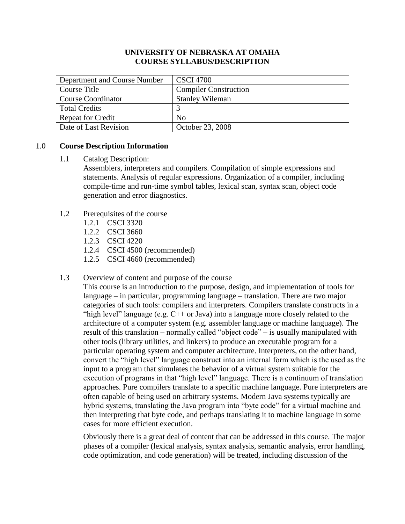## **UNIVERSITY OF NEBRASKA AT OMAHA COURSE SYLLABUS/DESCRIPTION**

| Department and Course Number | <b>CSCI 4700</b>             |
|------------------------------|------------------------------|
| Course Title                 | <b>Compiler Construction</b> |
| Course Coordinator           | <b>Stanley Wileman</b>       |
| Total Credits                |                              |
| <b>Repeat for Credit</b>     | No                           |
| Date of Last Revision        | October 23, 2008             |

## 1.0 **Course Description Information**

1.1 Catalog Description:

Assemblers, interpreters and compilers. Compilation of simple expressions and statements. Analysis of regular expressions. Organization of a compiler, including compile-time and run-time symbol tables, lexical scan, syntax scan, object code generation and error diagnostics.

- 1.2 Prerequisites of the course
	- 1.2.1 CSCI 3320
	- 1.2.2 CSCI 3660
	- 1.2.3 CSCI 4220
	- 1.2.4 CSCI 4500 (recommended)
	- 1.2.5 CSCI 4660 (recommended)

### 1.3 Overview of content and purpose of the course

This course is an introduction to the purpose, design, and implementation of tools for language – in particular, programming language – translation. There are two major categories of such tools: compilers and interpreters. Compilers translate constructs in a "high level" language (e.g.  $C++$  or Java) into a language more closely related to the architecture of a computer system (e.g. assembler language or machine language). The result of this translation – normally called "object code" – is usually manipulated with other tools (library utilities, and linkers) to produce an executable program for a particular operating system and computer architecture. Interpreters, on the other hand, convert the "high level" language construct into an internal form which is the used as the input to a program that simulates the behavior of a virtual system suitable for the execution of programs in that "high level" language. There is a continuum of translation approaches. Pure compilers translate to a specific machine language. Pure interpreters are often capable of being used on arbitrary systems. Modern Java systems typically are hybrid systems, translating the Java program into "byte code" for a virtual machine and then interpreting that byte code, and perhaps translating it to machine language in some cases for more efficient execution.

Obviously there is a great deal of content that can be addressed in this course. The major phases of a compiler (lexical analysis, syntax analysis, semantic analysis, error handling, code optimization, and code generation) will be treated, including discussion of the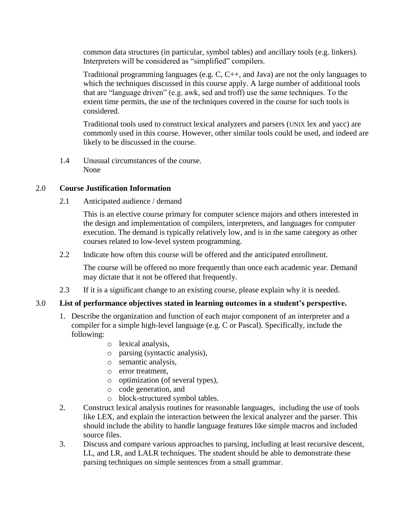common data structures (in particular, symbol tables) and ancillary tools (e.g. linkers). Interpreters will be considered as "simplified" compilers.

Traditional programming languages (e.g. C, C++, and Java) are not the only languages to which the techniques discussed in this course apply. A large number of additional tools that are "language driven" (e.g. awk, sed and troff) use the same techniques. To the extent time permits, the use of the techniques covered in the course for such tools is considered.

Traditional tools used to construct lexical analyzers and parsers (UNIX lex and yacc) are commonly used in this course. However, other similar tools could be used, and indeed are likely to be discussed in the course.

1.4 Unusual circumstances of the course. None

## 2.0 **Course Justification Information**

2.1 Anticipated audience / demand

This is an elective course primary for computer science majors and others interested in the design and implementation of compilers, interpreters, and languages for computer execution. The demand is typically relatively low, and is in the same category as other courses related to low-level system programming.

2.2 Indicate how often this course will be offered and the anticipated enrollment.

The course will be offered no more frequently than once each academic year. Demand may dictate that it not be offered that frequently.

2.3 If it is a significant change to an existing course, please explain why it is needed.

# 3.0 **List of performance objectives stated in learning outcomes in a student's perspective.**

- 1. Describe the organization and function of each major component of an interpreter and a compiler for a simple high-level language (e.g. C or Pascal). Specifically, include the following:
	- o lexical analysis,
	- o parsing (syntactic analysis),
	- o semantic analysis,
	- o error treatment,
	- o optimization (of several types),
	- o code generation, and
	- o block-structured symbol tables.
- 2. Construct lexical analysis routines for reasonable languages, including the use of tools like LEX, and explain the interaction between the lexical analyzer and the parser. This should include the ability to handle language features like simple macros and included source files.
- 3. Discuss and compare various approaches to parsing, including at least recursive descent, LL, and LR, and LALR techniques. The student should be able to demonstrate these parsing techniques on simple sentences from a small grammar.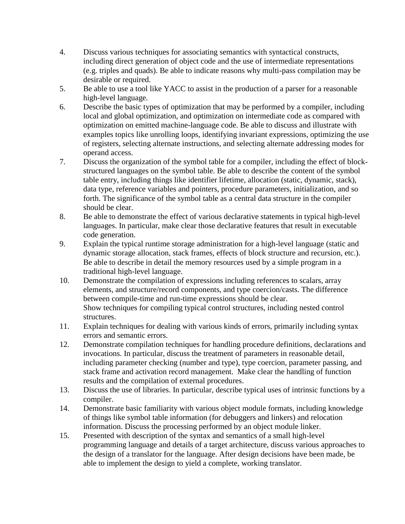- 4. Discuss various techniques for associating semantics with syntactical constructs, including direct generation of object code and the use of intermediate representations (e.g. triples and quads). Be able to indicate reasons why multi-pass compilation may be desirable or required.
- 5. Be able to use a tool like YACC to assist in the production of a parser for a reasonable high-level language.
- 6. Describe the basic types of optimization that may be performed by a compiler, including local and global optimization, and optimization on intermediate code as compared with optimization on emitted machine-language code. Be able to discuss and illustrate with examples topics like unrolling loops, identifying invariant expressions, optimizing the use of registers, selecting alternate instructions, and selecting alternate addressing modes for operand access.
- 7. Discuss the organization of the symbol table for a compiler, including the effect of blockstructured languages on the symbol table. Be able to describe the content of the symbol table entry, including things like identifier lifetime, allocation (static, dynamic, stack), data type, reference variables and pointers, procedure parameters, initialization, and so forth. The significance of the symbol table as a central data structure in the compiler should be clear.
- 8. Be able to demonstrate the effect of various declarative statements in typical high-level languages. In particular, make clear those declarative features that result in executable code generation.
- 9. Explain the typical runtime storage administration for a high-level language (static and dynamic storage allocation, stack frames, effects of block structure and recursion, etc.). Be able to describe in detail the memory resources used by a simple program in a traditional high-level language.
- 10. Demonstrate the compilation of expressions including references to scalars, array elements, and structure/record components, and type coercion/casts. The difference between compile-time and run-time expressions should be clear. Show techniques for compiling typical control structures, including nested control structures.
- 11. Explain techniques for dealing with various kinds of errors, primarily including syntax errors and semantic errors.
- 12. Demonstrate compilation techniques for handling procedure definitions, declarations and invocations. In particular, discuss the treatment of parameters in reasonable detail, including parameter checking (number and type), type coercion, parameter passing, and stack frame and activation record management. Make clear the handling of function results and the compilation of external procedures.
- 13. Discuss the use of libraries. In particular, describe typical uses of intrinsic functions by a compiler.
- 14. Demonstrate basic familiarity with various object module formats, including knowledge of things like symbol table information (for debuggers and linkers) and relocation information. Discuss the processing performed by an object module linker.
- 15. Presented with description of the syntax and semantics of a small high-level programming language and details of a target architecture, discuss various approaches to the design of a translator for the language. After design decisions have been made, be able to implement the design to yield a complete, working translator.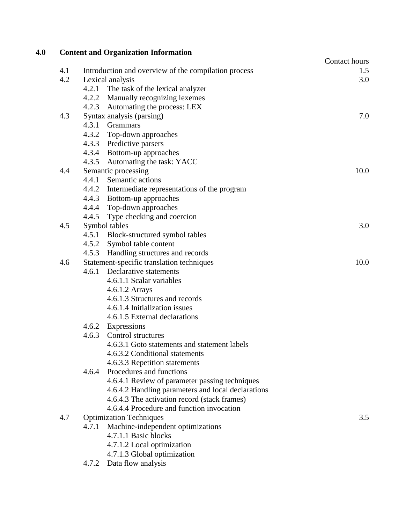| 4.0 |     | <b>Content and Organization Information</b>                |                      |
|-----|-----|------------------------------------------------------------|----------------------|
|     | 4.1 | Introduction and overview of the compilation process       | Contact hours<br>1.5 |
|     | 4.2 | Lexical analysis                                           | 3.0                  |
|     |     | 4.2.1 The task of the lexical analyzer                     |                      |
|     |     | Manually recognizing lexemes<br>4.2.2                      |                      |
|     |     | 4.2.3<br>Automating the process: LEX                       |                      |
|     | 4.3 | Syntax analysis (parsing)                                  | 7.0                  |
|     |     | 4.3.1 Grammars                                             |                      |
|     |     | 4.3.2 Top-down approaches                                  |                      |
|     |     | 4.3.3 Predictive parsers                                   |                      |
|     |     | 4.3.4 Bottom-up approaches                                 |                      |
|     |     | 4.3.5 Automating the task: YACC                            |                      |
|     | 4.4 | Semantic processing                                        | 10.0                 |
|     |     | 4.4.1 Semantic actions                                     |                      |
|     |     | 4.4.2 Intermediate representations of the program          |                      |
|     |     | 4.4.3 Bottom-up approaches                                 |                      |
|     |     | 4.4.4 Top-down approaches                                  |                      |
|     |     | 4.4.5<br>Type checking and coercion                        |                      |
|     | 4.5 | Symbol tables                                              | 3.0                  |
|     |     | 4.5.1 Block-structured symbol tables                       |                      |
|     |     | Symbol table content<br>4.5.2                              |                      |
|     |     | 4.5.3<br>Handling structures and records                   |                      |
|     | 4.6 | Statement-specific translation techniques                  | 10.0                 |
|     |     | 4.6.1 Declarative statements                               |                      |
|     |     | 4.6.1.1 Scalar variables                                   |                      |
|     |     | 4.6.1.2 Arrays                                             |                      |
|     |     | 4.6.1.3 Structures and records                             |                      |
|     |     | 4.6.1.4 Initialization issues                              |                      |
|     |     | 4.6.1.5 External declarations                              |                      |
|     |     | Expressions<br>4.6.2                                       |                      |
|     |     | 4.6.3 Control structures                                   |                      |
|     |     | 4.6.3.1 Goto statements and statement labels               |                      |
|     |     | 4.6.3.2 Conditional statements                             |                      |
|     |     | 4.6.3.3 Repetition statements                              |                      |
|     |     | 4.6.4 Procedures and functions                             |                      |
|     |     | 4.6.4.1 Review of parameter passing techniques             |                      |
|     |     | 4.6.4.2 Handling parameters and local declarations         |                      |
|     |     | 4.6.4.3 The activation record (stack frames)               |                      |
|     |     | 4.6.4.4 Procedure and function invocation                  |                      |
|     | 4.7 | <b>Optimization Techniques</b>                             | 3.5                  |
|     |     | Machine-independent optimizations<br>4.7.1                 |                      |
|     |     | 4.7.1.1 Basic blocks                                       |                      |
|     |     | 4.7.1.2 Local optimization                                 |                      |
|     |     | 4.7.1.3 Global optimization<br>Data flow analysis<br>4.7.2 |                      |
|     |     |                                                            |                      |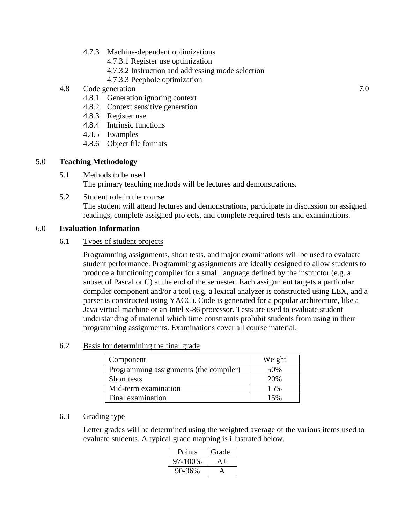- 4.7.3 Machine-dependent optimizations
	- 4.7.3.1 Register use optimization
	- 4.7.3.2 Instruction and addressing mode selection
	- 4.7.3.3 Peephole optimization

# 4.8 Code generation 2.0

- 4.8.1 Generation ignoring context
- 4.8.2 Context sensitive generation
- 4.8.3 Register use
- 4.8.4 Intrinsic functions
- 4.8.5 Examples
- 4.8.6 Object file formats

## 5.0 **Teaching Methodology**

- 5.1 Methods to be used The primary teaching methods will be lectures and demonstrations.
- 5.2 Student role in the course The student will attend lectures and demonstrations, participate in discussion on assigned readings, complete assigned projects, and complete required tests and examinations.

### 6.0 **Evaluation Information**

### 6.1 Types of student projects

Programming assignments, short tests, and major examinations will be used to evaluate student performance. Programming assignments are ideally designed to allow students to produce a functioning compiler for a small language defined by the instructor (e.g. a subset of Pascal or C) at the end of the semester. Each assignment targets a particular compiler component and/or a tool (e.g. a lexical analyzer is constructed using LEX, and a parser is constructed using YACC). Code is generated for a popular architecture, like a Java virtual machine or an Intel x-86 processor. Tests are used to evaluate student understanding of material which time constraints prohibit students from using in their programming assignments. Examinations cover all course material.

### 6.2 Basis for determining the final grade

| Component                              | Weight |
|----------------------------------------|--------|
| Programming assignments (the compiler) | 50%    |
| Short tests                            | 20%    |
| Mid-term examination                   | 15%    |
| Final examination                      | 15%    |

### 6.3 Grading type

Letter grades will be determined using the weighted average of the various items used to evaluate students. A typical grade mapping is illustrated below.

| Points        | Grade |
|---------------|-------|
| 97-100%       | A+    |
| $0-96%$<br>90 |       |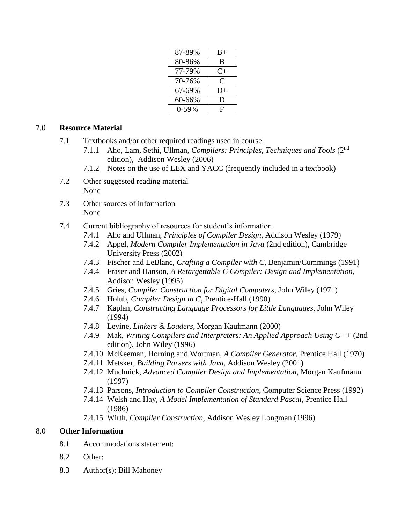| 87-89%  | $B+$      |
|---------|-----------|
| 80-86%  | B         |
| 77-79%  | $C_{\pm}$ |
| 70-76%  | C         |
| 67-69%  | $D+$      |
| 60-66%  | D         |
| $0-59%$ | F         |
|         |           |

## 7.0 **Resource Material**

- 7.1 Textbooks and/or other required readings used in course.
	- 7.1.1 Aho, Lam, Sethi, Ullman, *Compilers: Principles, Techniques and Tools* (2nd edition), Addison Wesley (2006)
	- 7.1.2 Notes on the use of LEX and YACC (frequently included in a textbook)
- 7.2 Other suggested reading material None
- 7.3 Other sources of information None
- 7.4 Current bibliography of resources for student's information
	- 7.4.1 Aho and Ullman, *Principles of Compiler Design*, Addison Wesley (1979)
	- 7.4.2 Appel, *Modern Compiler Implementation in Java* (2nd edition), Cambridge University Press (2002)
	- 7.4.3 Fischer and LeBlanc, *Crafting a Compiler with C*, Benjamin/Cummings (1991)
	- 7.4.4 Fraser and Hanson, *A Retargettable C Compiler: Design and Implementation*, Addison Wesley (1995)
	- 7.4.5 Gries, *Compiler Construction for Digital Computers*, John Wiley (1971)
	- 7.4.6 Holub, *Compiler Design in C*, Prentice-Hall (1990)
	- 7.4.7 Kaplan, *Constructing Language Processors for Little Languages*, John Wiley (1994)
	- 7.4.8 Levine, *Linkers & Loaders*, Morgan Kaufmann (2000)
	- 7.4.9 Mak, *Writing Compilers and Interpreters: An Applied Approach Using C++* (2nd edition), John Wiley (1996)
	- 7.4.10 McKeeman, Horning and Wortman, *A Compiler Generator*, Prentice Hall (1970)
	- 7.4.11 Metsker, *Building Parsers with Java*, Addison Wesley (2001)
	- 7.4.12 Muchnick, *Advanced Compiler Design and Implementation*, Morgan Kaufmann (1997)
	- 7.4.13 Parsons, *Introduction to Compiler Construction*, Computer Science Press (1992)
	- 7.4.14 Welsh and Hay, *A Model Implementation of Standard Pascal*, Prentice Hall (1986)
	- 7.4.15 Wirth, *Compiler Construction*, Addison Wesley Longman (1996)

## 8.0 **Other Information**

- 8.1 Accommodations statement:
- 8.2 Other:
- 8.3 Author(s): Bill Mahoney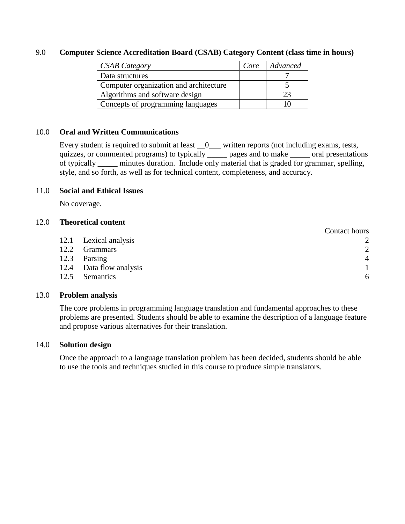#### 9.0 **Computer Science Accreditation Board (CSAB) Category Content (class time in hours)**

| <b>CSAB Category</b>                   | Core | Advanced |
|----------------------------------------|------|----------|
| Data structures                        |      |          |
| Computer organization and architecture |      |          |
| Algorithms and software design         |      | フマ       |
| Concepts of programming languages      |      |          |

### 10.0 **Oral and Written Communications**

Every student is required to submit at least  $\_\_0$  written reports (not including exams, tests, quizzes, or commented programs) to typically \_\_\_\_\_ pages and to make \_\_\_\_\_ oral presentations of typically \_\_\_\_\_ minutes duration. Include only material that is graded for grammar, spelling, style, and so forth, as well as for technical content, completeness, and accuracy.

#### 11.0 **Social and Ethical Issues**

No coverage.

#### 12.0 **Theoretical content**

|                         | Contact hours  |
|-------------------------|----------------|
| 12.1 Lexical analysis   |                |
| <b>Grammars</b>         | 2              |
| Parsing                 | $\overline{4}$ |
| 12.4 Data flow analysis |                |
| Semantics               | 6              |
|                         |                |

#### 13.0 **Problem analysis**

The core problems in programming language translation and fundamental approaches to these problems are presented. Students should be able to examine the description of a language feature and propose various alternatives for their translation.

#### 14.0 **Solution design**

Once the approach to a language translation problem has been decided, students should be able to use the tools and techniques studied in this course to produce simple translators.